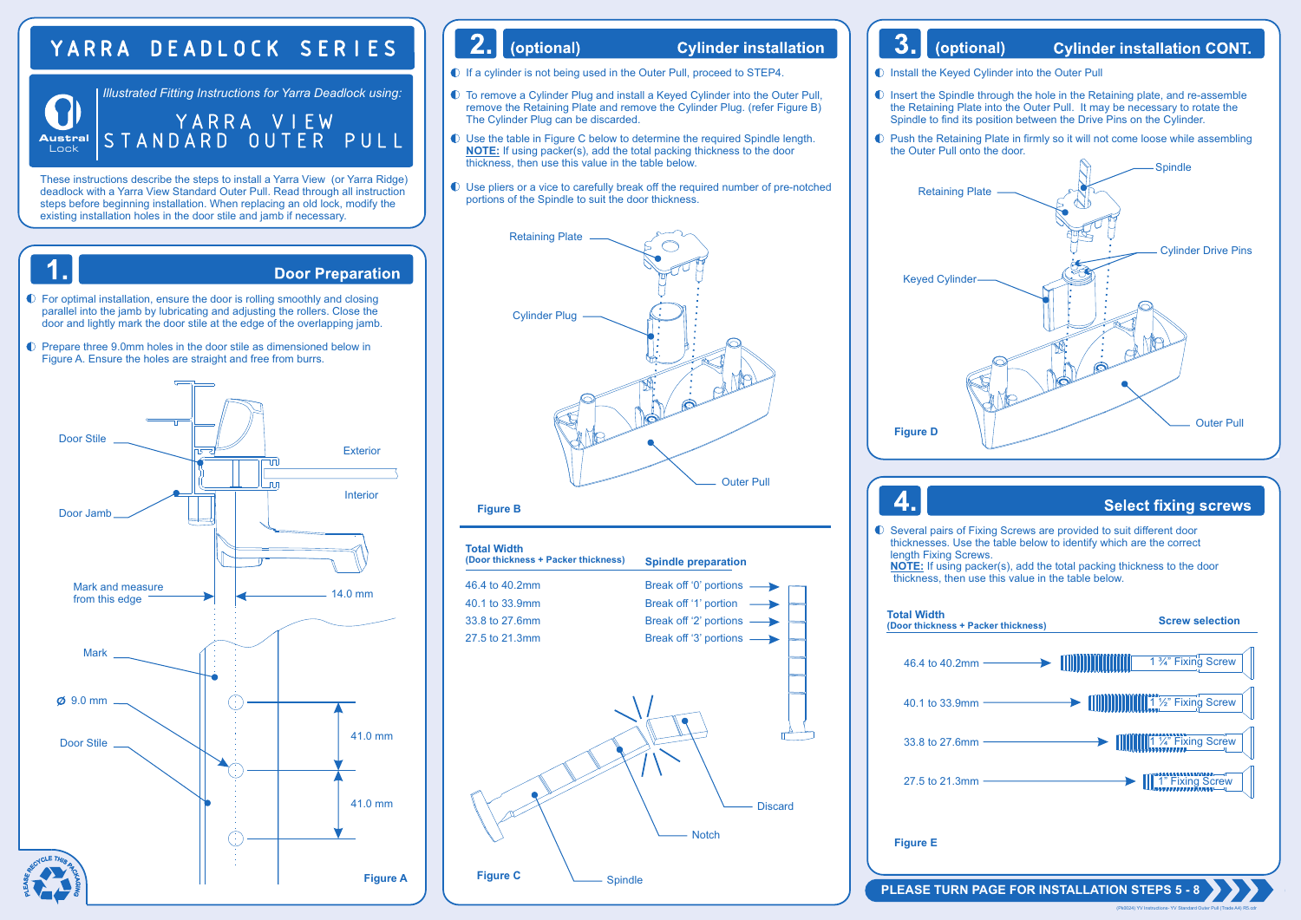# YARRA DEADLOCK SERIES

 $\sum_{i=1}^{n}$ *Illustrated Fitting Instructions for Yarra Deadlock using:* YARRA VIEW **Au s tr** Lock **al** STANDARD OUTER PULL

These instructions describe the steps to install a Yarra View (or Yarra Ridge) deadlock with a Yarra View Standard Outer Pull. Read through all instruction steps before beginning installation. When replacing an old lock, modify the existing installation holes in the door stile and jamb if necessary.



#### $2.1$ (optional)

#### **Cylinder installation**

 $\bullet$  If a cylinder is not being used in the Outer Pull, proceed to STEP4.

- To remove a Cylinder Plug and install a Keyed Cylinder into the Outer Pull, remove the Retaining Plate and remove the Cylinder Plug. (refer Figure B) The Cylinder Plug can be discarded.
- Use the table in Figure C below to determine the required Spindle length. **NOTE:** If using packer(s), add the total packing thickness to the door thickness, then use this value in the table below.
- Use pliers or a vice to carefully break off the required number of pre-notched portions of the Spindle to suit the door thickness.



#### **Figure B**



#### $3.$ (optional) **Cylinder installation CONT.**

**Install the Keyed Cylinder into the Outer Pull** 

- **Insert the Spindle through the hole in the Retaining plate, and re-assemble** the Retaining Plate into the Outer Pull. It may be necessary to rotate the Spindle to find its position between the Drive Pins on the Cylinder.
- Push the Retaining Plate in firmly so it will not come loose while assembling the Outer Pull onto the door.



### **Select fixing screws**

Several pairs of Fixing Screws are provided to suit different door thicknesses. Use the table below to identify which are the correct length Fixing Screws.

**NOTE:** If using packer(s), add the total packing thickness to the door thickness, then use this value in the table below.



**Figure E**

 $\boldsymbol{\Lambda}$ 

#### **PLEASE TURN PAGE FOR INSTALLATION STEPS 5 - 8**

(Pk0024) YV Instructions- YV Standard Outer Pull (Trade A4) R5.cdr